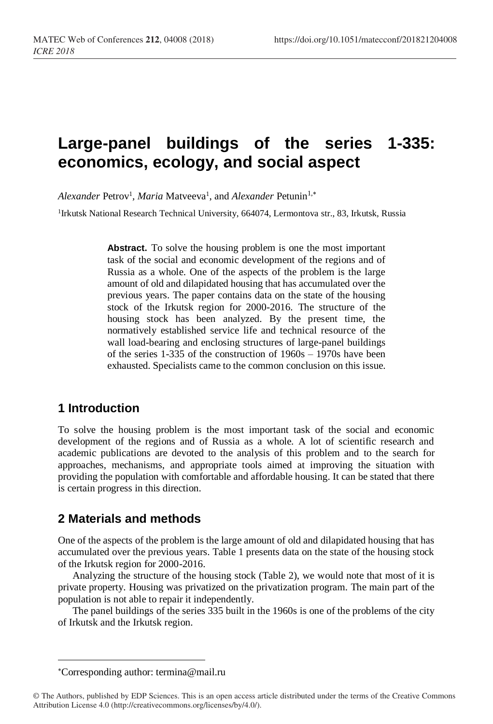# **Large-panel buildings of the series 1-335: economics, ecology, and social aspect**

Alexander Petrov<sup>1</sup>, *Maria* Matveeva<sup>1</sup>, and *Alexander* Petunin<sup>1,\*</sup>

<sup>1</sup>Irkutsk National Research Technical University, 664074, Lermontova str., 83, Irkutsk, Russia

**Abstract.** To solve the housing problem is one the most important task of the social and economic development of the regions and of Russia as a whole. One of the aspects of the problem is the large amount of old and dilapidated housing that has accumulated over the previous years. The paper contains data on the state of the housing stock of the Irkutsk region for 2000-2016. The structure of the housing stock has been analyzed. By the present time, the normatively established service life and technical resource of the wall load-bearing and enclosing structures of large-panel buildings of the series 1-335 of the construction of 1960s – 1970s have been exhausted. Specialists came to the common conclusion on this issue.

### **1 Introduction**

To solve the housing problem is the most important task of the social and economic development of the regions and of Russia as a whole. A lot of scientific research and academic publications are devoted to the analysis of this problem and to the search for approaches, mechanisms, and appropriate tools aimed at improving the situation with providing the population with comfortable and affordable housing. It can be stated that there is certain progress in this direction.

### **2 Materials and methods**

One of the aspects of the problem is the large amount of old and dilapidated housing that has accumulated over the previous years. Table 1 presents data on the state of the housing stock of the Irkutsk region for 2000-2016.

Analyzing the structure of the housing stock (Table 2), we would note that most of it is private property. Housing was privatized on the privatization program. The main part of the population is not able to repair it independently.

The panel buildings of the series 335 built in the 1960s is one of the problems of the city of Irkutsk and the Irkutsk region.

l

Corresponding author[: termina@mail.ru](mailto:termina@mail.ru)

<sup>©</sup> The Authors, published by EDP Sciences. This is an open access article distributed under the terms of the Creative Commons Attribution License 4.0 (http://creativecommons.org/licenses/by/4.0/).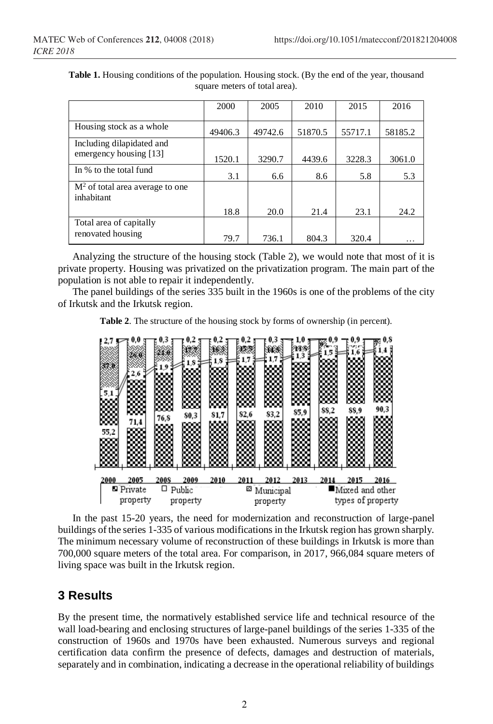|                                   | 2000    | 2005    | 2010    | 2015    | 2016    |
|-----------------------------------|---------|---------|---------|---------|---------|
|                                   |         |         |         |         |         |
| Housing stock as a whole          | 49406.3 | 49742.6 | 51870.5 | 55717.1 | 58185.2 |
| Including dilapidated and         |         |         |         |         |         |
| emergency housing [13]            | 1520.1  | 3290.7  | 4439.6  | 3228.3  | 3061.0  |
| In % to the total fund            | 3.1     | 6.6     | 8.6     | 5.8     | 5.3     |
| $M2$ of total area average to one |         |         |         |         |         |
| inhabitant                        |         |         |         |         |         |
|                                   | 18.8    | 20.0    | 21.4    | 23.1    | 24.2    |
| Total area of capitally           |         |         |         |         |         |
| renovated housing                 | 79.7    | 736.1   | 804.3   | 320.4   |         |

**Table 1.** Housing conditions of the population. Housing stock. (By the end of the year, thousand square meters of total area).

Analyzing the structure of the housing stock (Table 2), we would note that most of it is private property. Housing was privatized on the privatization program. The main part of the population is not able to repair it independently.

The panel buildings of the series 335 built in the 1960s is one of the problems of the city of Irkutsk and the Irkutsk region.

**Table 2**. The structure of the housing stock by forms of ownership (in percent).

|                          | 5.1<br>88<br>œ<br>133<br>55,2<br>▩<br>m<br>r a | 0,0<br>2.6<br>YO MAR<br>mm<br>.<br>юх<br>71,4<br>DOOK<br>.<br>nooc<br>BX. | 0.3<br>1.9<br>⅏<br>x<br>76.8<br>88<br>533<br>œ | 0,2<br>1.8<br>.<br>53<br>mm<br>▩<br>80,3<br>888<br>mm<br>88<br>œ | 0.2<br>1,8<br>ra ma<br>mm<br>mmm<br>ooo<br>ww.<br>833<br>81,7<br>m.<br>.<br>mm<br>œ | 1.7<br>mmmm<br>ЮØ<br>82,6<br>ю<br>m<br>.<br>53 | 0,3<br>N.<br>ww<br>mm<br>œ<br>m<br>▩<br>83,2<br>▩<br>∞<br>mm<br>833 | 1,0<br>外外分<br>1,3<br>coo<br>oon<br>mm<br>▩<br>85.9<br>w.<br>coo<br>ю | $\mathbb{B}^{0,9}$<br>1.5<br>88<br>mm<br>œ<br>88.2<br>œ<br><b>NOTES</b><br>mm<br>xx.<br>mm<br>▩ | 0.9<br>nur: an<br>6<br>æ<br>DO 100<br>∞<br>mm<br>83<br>88.9<br>œ<br>m<br>33<br>83 | 0,8<br>1000<br>889<br>90.3<br>999<br>RG 9 |
|--------------------------|------------------------------------------------|---------------------------------------------------------------------------|------------------------------------------------|------------------------------------------------------------------|-------------------------------------------------------------------------------------|------------------------------------------------|---------------------------------------------------------------------|----------------------------------------------------------------------|-------------------------------------------------------------------------------------------------|-----------------------------------------------------------------------------------|-------------------------------------------|
|                          | 2000                                           | 2005                                                                      | 2008                                           | 2009                                                             | 2010                                                                                | 2011                                           | 2012                                                                | 2013                                                                 | 2014                                                                                            | 2015                                                                              | 2016                                      |
| $\Box$ Public<br>Private |                                                |                                                                           |                                                |                                                                  | ⊗                                                                                   | Municipal                                      |                                                                     | $\blacksquare$ Mixed and other                                       |                                                                                                 |                                                                                   |                                           |
| property<br>property     |                                                |                                                                           |                                                |                                                                  |                                                                                     | property                                       |                                                                     | types of property                                                    |                                                                                                 |                                                                                   |                                           |

In the past 15-20 years, the need for modernization and reconstruction of large-panel buildings of the series 1-335 of various modifications in the Irkutsk region has grown sharply. The minimum necessary volume of reconstruction of these buildings in Irkutsk is more than 700,000 square meters of the total area. For comparison, in 2017, 966,084 square meters of living space was built in the Irkutsk region.

### **3 Results**

By the present time, the normatively established service life and technical resource of the wall load-bearing and enclosing structures of large-panel buildings of the series 1-335 of the construction of 1960s and 1970s have been exhausted. Numerous surveys and regional certification data confirm the presence of defects, damages and destruction of materials, separately and in combination, indicating a decrease in the operational reliability of buildings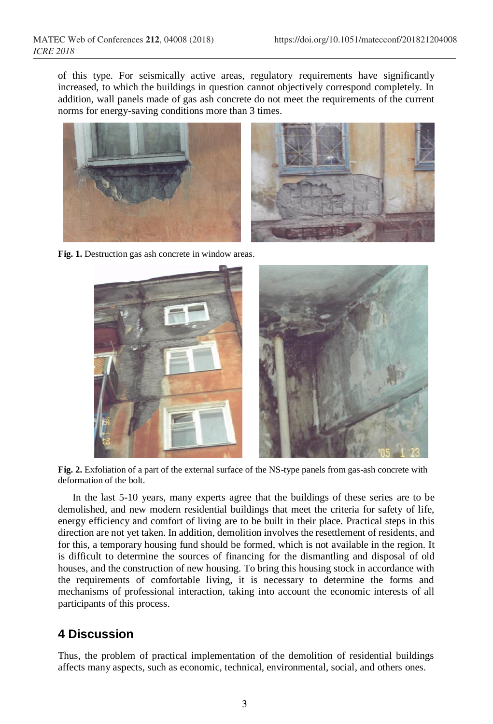of this type. For seismically active areas, regulatory requirements have significantly increased, to which the buildings in question cannot objectively correspond completely. In addition, wall panels made of gas ash concrete do not meet the requirements of the current norms for energy-saving conditions more than 3 times.



**Fig. 1.** Destruction gas ash concrete in window areas.



**Fig. 2.** Exfoliation of a part of the external surface of the NS-type panels from gas-ash concrete with deformation of the bolt.

In the last 5-10 years, many experts agree that the buildings of these series are to be demolished, and new modern residential buildings that meet the criteria for safety of life, energy efficiency and comfort of living are to be built in their place. Practical steps in this direction are not yet taken. In addition, demolition involves the resettlement of residents, and for this, a temporary housing fund should be formed, which is not available in the region. It is difficult to determine the sources of financing for the dismantling and disposal of old houses, and the construction of new housing. To bring this housing stock in accordance with the requirements of comfortable living, it is necessary to determine the forms and mechanisms of professional interaction, taking into account the economic interests of all participants of this process.

### **4 Discussion**

Thus, the problem of practical implementation of the demolition of residential buildings affects many aspects, such as economic, technical, environmental, social, and others ones.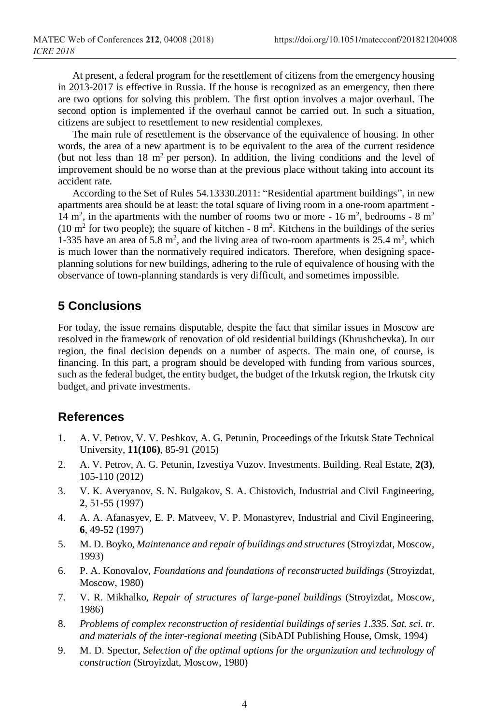At present, a federal program for the resettlement of citizens from the emergency housing in 2013-2017 is effective in Russia. If the house is recognized as an emergency, then there are two options for solving this problem. The first option involves a major overhaul. The second option is implemented if the overhaul cannot be carried out. In such a situation, citizens are subject to resettlement to new residential complexes.

The main rule of resettlement is the observance of the equivalence of housing. In other words, the area of a new apartment is to be equivalent to the area of the current residence (but not less than  $18 \text{ m}^2$  per person). In addition, the living conditions and the level of improvement should be no worse than at the previous place without taking into account its accident rate.

According to the Set of Rules 54.13330.2011: "Residential apartment buildings", in new apartments area should be at least: the total square of living room in a one-room apartment - 14 m<sup>2</sup>, in the apartments with the number of rooms two or more - 16 m<sup>2</sup>, bedrooms - 8 m<sup>2</sup>  $(10 \text{ m}^2 \text{ for two people})$ ; the square of kitchen - 8 m<sup>2</sup>. Kitchens in the buildings of the series 1-335 have an area of 5.8  $m^2$ , and the living area of two-room apartments is 25.4  $m^2$ , which is much lower than the normatively required indicators. Therefore, when designing spaceplanning solutions for new buildings, adhering to the rule of equivalence of housing with the observance of town-planning standards is very difficult, and sometimes impossible.

## **5 Conclusions**

For today, the issue remains disputable, despite the fact that similar issues in Moscow are resolved in the framework of renovation of old residential buildings (Khrushchevka). In our region, the final decision depends on a number of aspects. The main one, of course, is financing. In this part, a program should be developed with funding from various sources, such as the federal budget, the entity budget, the budget of the Irkutsk region, the Irkutsk city budget, and private investments.

#### **References**

- 1. A. V. Petrov, V. V. Peshkov, A. G. Petunin, Proceedings of the Irkutsk State Technical University, **11(106)**, 85-91 (2015)
- 2. A. V. Petrov, A. G. Petunin, Izvestiya Vuzov. Investments. Building. Real Estate, **2(3)**, 105-110 (2012)
- 3. V. K. Averyanov, S. N. Bulgakov, S. A. Chistovich, Industrial and Civil Engineering, **2**, 51-55 (1997)
- 4. A. A. Afanasyev, E. P. Matveev, V. P. Monastyrev, Industrial and Civil Engineering, **6**, 49-52 (1997)
- 5. M. D. Boyko, *Maintenance and repair of buildings and structures* (Stroyizdat, Moscow, 1993)
- 6. P. A. Konovalov, *Foundations and foundations of reconstructed buildings* (Stroyizdat, Moscow, 1980)
- 7. V. R. Mikhalko, *Repair of structures of large-panel buildings* (Stroyizdat, Moscow, 1986)
- 8. *Problems of complex reconstruction of residential buildings of series 1.335. Sat. sci. tr. and materials of the inter-regional meeting* (SibADI Publishing House, Omsk, 1994)
- 9. M. D. Spector, *Selection of the optimal options for the organization and technology of construction* (Stroyizdat, Moscow, 1980)